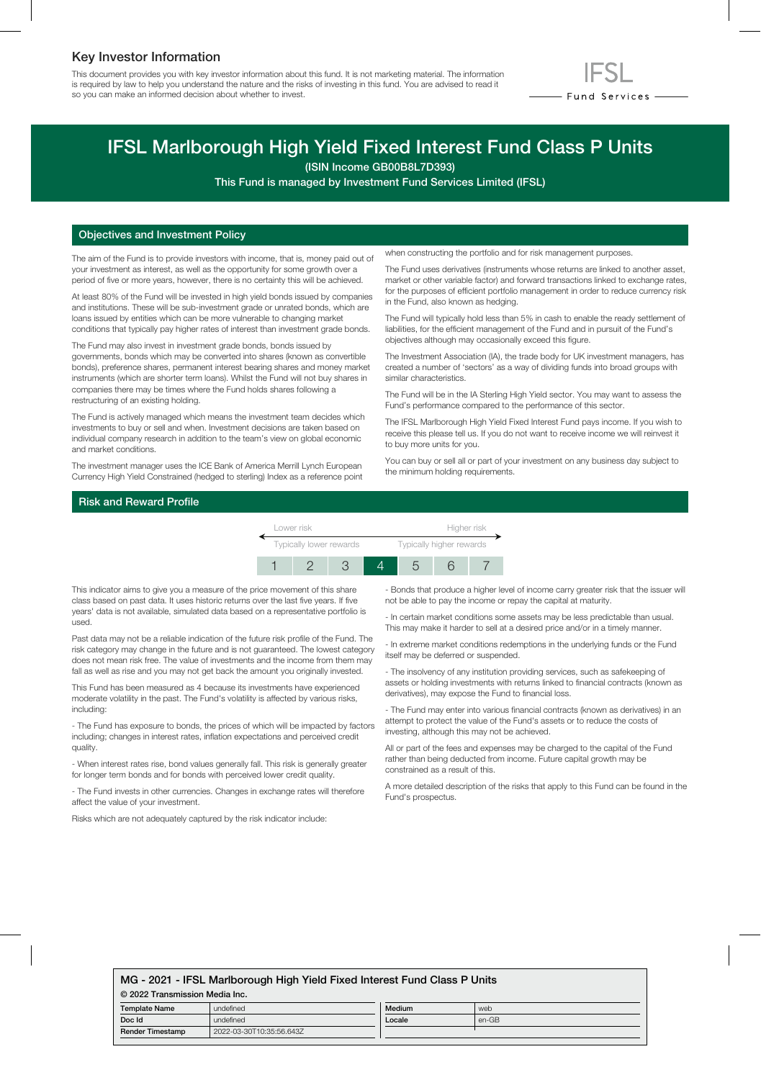## Key Investor Information

This document provides you with key investor information about this fund. It is not marketing material. The information is required by law to help you understand the nature and the risks of investing in this fund. You are advised to read it so you can make an informed decision about whether to invest.



# IFSL Marlborough High Yield Fixed Interest Fund Class P Units

(ISIN Income GB00B8L7D393)

This Fund is managed by Investment Fund Services Limited (IFSL)

### Objectives and Investment Policy

The aim of the Fund is to provide investors with income, that is, money paid out of your investment as interest, as well as the opportunity for some growth over a period of five or more years, however, there is no certainty this will be achieved.

At least 80% of the Fund will be invested in high yield bonds issued by companies and institutions. These will be sub-investment grade or unrated bonds, which are loans issued by entities which can be more vulnerable to changing market conditions that typically pay higher rates of interest than investment grade bonds.

The Fund may also invest in investment grade bonds, bonds issued by governments, bonds which may be converted into shares (known as convertible bonds), preference shares, permanent interest bearing shares and money market instruments (which are shorter term loans). Whilst the Fund will not buy shares in companies there may be times where the Fund holds shares following a restructuring of an existing holding.

The Fund is actively managed which means the investment team decides which investments to buy or sell and when. Investment decisions are taken based on individual company research in addition to the team's view on global economic and market conditions.

The investment manager uses the ICE Bank of America Merrill Lynch European Currency High Yield Constrained (hedged to sterling) Index as a reference point when constructing the portfolio and for risk management purposes.

The Fund uses derivatives (instruments whose returns are linked to another asset, market or other variable factor) and forward transactions linked to exchange rates, for the purposes of efficient portfolio management in order to reduce currency risk in the Fund, also known as hedging.

The Fund will typically hold less than 5% in cash to enable the ready settlement of liabilities, for the efficient management of the Fund and in pursuit of the Fund's objectives although may occasionally exceed this figure.

The Investment Association (IA), the trade body for UK investment managers, has created a number of 'sectors' as a way of dividing funds into broad groups with similar characteristics.

The Fund will be in the IA Sterling High Yield sector. You may want to assess the Fund's performance compared to the performance of this sector.

The IFSL Marlborough High Yield Fixed Interest Fund pays income. If you wish to receive this please tell us. If you do not want to receive income we will reinvest it to buy more units for you.

You can buy or sell all or part of your investment on any business day subject to the minimum holding requirements.

## Risk and Reward Profile

| Lower risk              |  |  |  | Higher risk              |  |  |
|-------------------------|--|--|--|--------------------------|--|--|
| Typically lower rewards |  |  |  | Typically higher rewards |  |  |
|                         |  |  |  |                          |  |  |

This indicator aims to give you a measure of the price movement of this share class based on past data. It uses historic returns over the last five years. If five years' data is not available, simulated data based on a representative portfolio is used.

Past data may not be a reliable indication of the future risk profile of the Fund. The risk category may change in the future and is not guaranteed. The lowest category does not mean risk free. The value of investments and the income from them may fall as well as rise and you may not get back the amount you originally invested.

This Fund has been measured as 4 because its investments have experienced moderate volatility in the past. The Fund's volatility is affected by various risks, including:

- The Fund has exposure to bonds, the prices of which will be impacted by factors including; changes in interest rates, inflation expectations and perceived credit quality.

- When interest rates rise, bond values generally fall. This risk is generally greater for longer term bonds and for bonds with perceived lower credit quality.

- The Fund invests in other currencies. Changes in exchange rates will therefore affect the value of your investment.

Risks which are not adequately captured by the risk indicator include:

- Bonds that produce a higher level of income carry greater risk that the issuer will not be able to pay the income or repay the capital at maturity.

- In certain market conditions some assets may be less predictable than usual. This may make it harder to sell at a desired price and/or in a timely manner.

- In extreme market conditions redemptions in the underlying funds or the Fund itself may be deferred or suspended.

- The insolvency of any institution providing services, such as safekeeping of assets or holding investments with returns linked to financial contracts (known as derivatives), may expose the Fund to financial loss.

- The Fund may enter into various financial contracts (known as derivatives) in an attempt to protect the value of the Fund's assets or to reduce the costs of investing, although this may not be achieved.

All or part of the fees and expenses may be charged to the capital of the Fund rather than being deducted from income. Future capital growth may be constrained as a result of this.

A more detailed description of the risks that apply to this Fund can be found in the Fund's prospectus.